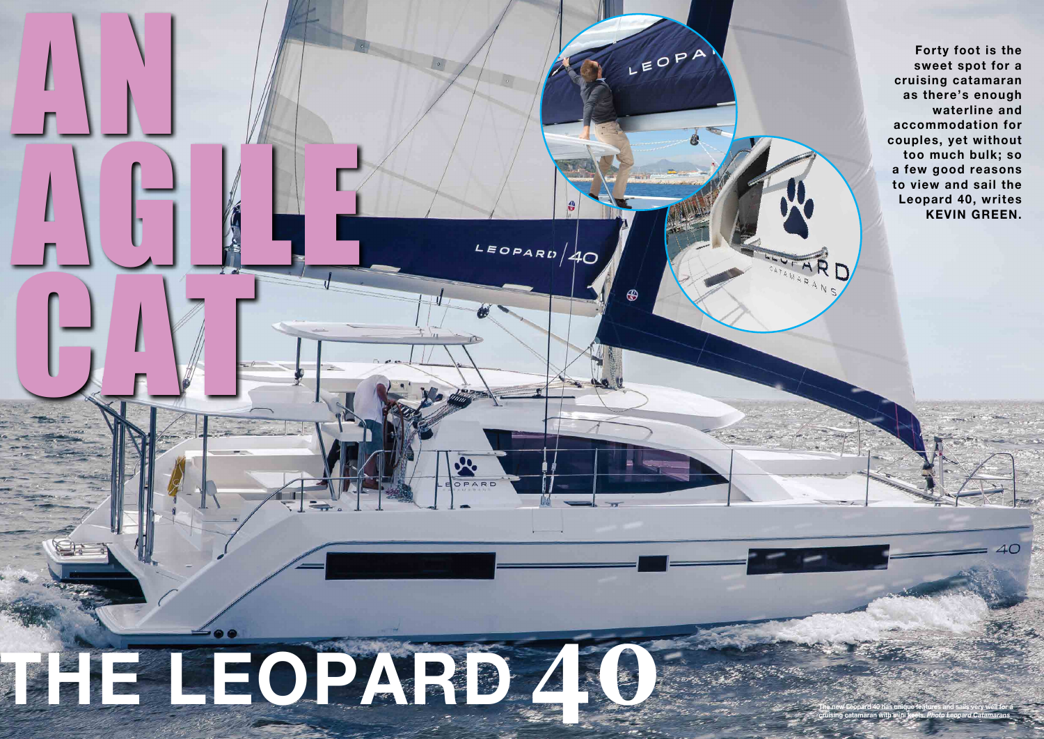

**Forty foot is the sweet spot for a cruising catamaran as there's enough waterline and accommodation for couples, yet without too much bulk; so a few good reasons to view and sail the Leopard 40, writes KEVIN GREEN.**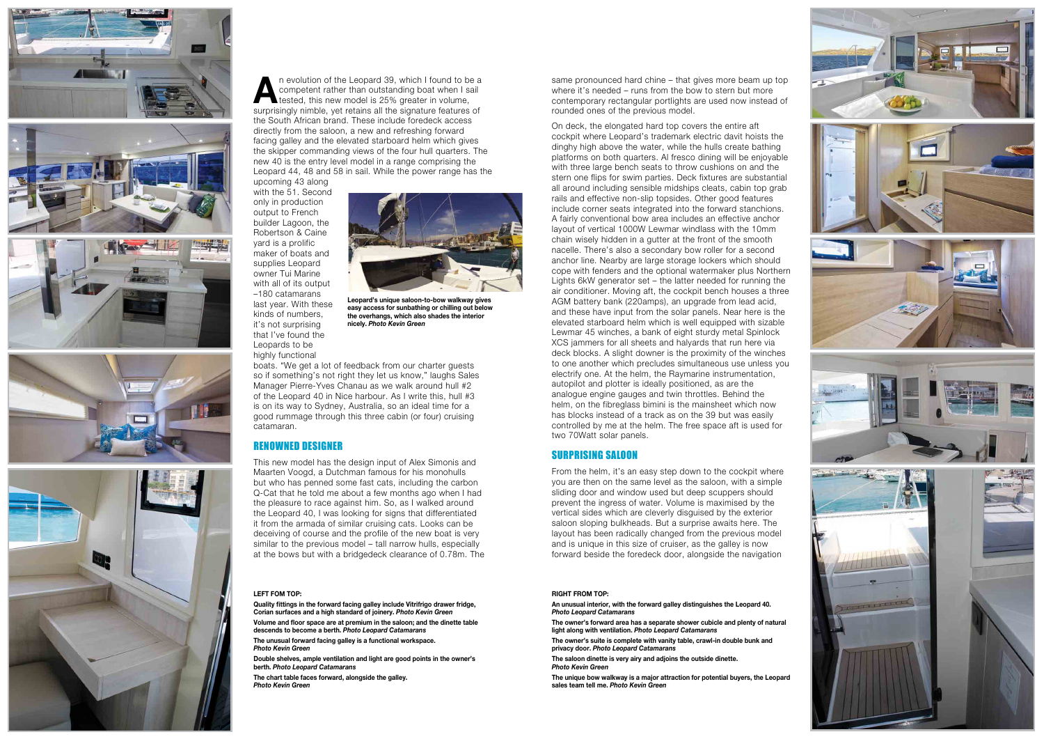



n evolution of the Leopard 39, which I found to be a competent rather than outstanding boat when I sail tested, this new model is 25% greater in volume, surprisingly nimble, yet retains all the signature features of the South African brand. These include foredeck access directly from the saloon, a new and refreshing forward facing galley and the elevated starboard helm which gives the skipper commanding views of the four hull quarters. The new 40 is the entry level model in a range comprising the Leopard 44, 48 and 58 in sail. While the power range has the upcoming 43 along

with the 51. Second only in production output to French builder Lagoon, the Robertson & Caine yard is a prolific maker of boats and supplies Leopard owner Tui Marine with all of its output –180 catamarans last year. With these kinds of numbers, it's not surprising that I've found the

## Leopards to be highly functional

boats. "We get a lot of feedback from our charter guests so if something's not right they let us know," laughs Sales Manager Pierre-Yves Chanau as we walk around hull #2 of the Leopard 40 in Nice harbour. As I write this, hull #3 is on its way to Sydney, Australia, so an ideal time for a good rummage through this three cabin (or four) cruising catamaran.

# Renowned designeR

This new model has the design input of Alex Simonis and Maarten Voogd, a Dutchman famous for his monohulls but who has penned some fast cats, including the carbon Q-Cat that he told me about a few months ago when I had the pleasure to race against him. So, as I walked around the Leopard 40, I was looking for signs that differentiated it from the armada of similar cruising cats. Looks can be deceiving of course and the profile of the new boat is very similar to the previous model – tall narrow hulls, especially at the bows but with a bridgedeck clearance of 0.78m. The same pronounced hard chine – that gives more beam up top where it's needed – runs from the bow to stern but more contemporary rectangular portlights are used now instead of rounded ones of the previous model.

On deck, the elongated hard top covers the entire aft cockpit where Leopard's trademark electric davit hoists the dinghy high above the water, while the hulls create bathing platforms on both quarters. Al fresco dining will be enjoyable with three large bench seats to throw cushions on and the stern one flips for swim parties. Deck fixtures are substantial all around including sensible midships cleats, cabin top grab rails and effective non-slip topsides. Other good features include corner seats integrated into the forward stanchions. A fairly conventional bow area includes an effective anchor layout of vertical 1000W Lewmar windlass with the 10mm chain wisely hidden in a gutter at the front of the smooth nacelle. There's also a secondary bow roller for a second anchor line. Nearby are large storage lockers which should cope with fenders and the optional watermaker plus Northern Lights 6kW generator set – the latter needed for running the air conditioner. Moving aft, the cockpit bench houses a three AGM battery bank (220amps), an upgrade from lead acid, and these have input from the solar panels. Near here is the elevated starboard helm which is well equipped with sizable Lewmar 45 winches, a bank of eight sturdy metal Spinlock XCS jammers for all sheets and halyards that run here via deck blocks. A slight downer is the proximity of the winches to one another which precludes simultaneous use unless you electrify one. At the helm, the Raymarine instrumentation, autopilot and plotter is ideally positioned, as are the analogue engine gauges and twin throttles. Behind the helm, on the fibreglass bimini is the mainsheet which now has blocks instead of a track as on the 39 but was easily controlled by me at the helm. The free space aft is used for two 70Watt solar panels.

## suRpRising sAloon

From the helm, it's an easy step down to the cockpit where you are then on the same level as the saloon, with a simple sliding door and window used but deep scuppers should prevent the ingress of water. Volume is maximised by the vertical sides which are cleverly disguised by the exterior saloon sloping bulkheads. But a surprise awaits here. The layout has been radically changed from the previous model and is unique in this size of cruiser, as the galley is now forward beside the foredeck door, alongside the navigation

### **LEFT Fom Top:**

**Quality fittings in the forward facing galley include Vitrifrigo drawer fridge, Corian surfaces and a high standard of joinery.** *Photo Kevin Green*

**Volume and floor space are at premium in the saloon; and the dinette table descends to become a berth.** *Photo Leopard Catamarans*

**The unusual forward facing galley is a functional workspace.**  *Photo Kevin Green*

**double shelves, ample ventilation and light are good points in the owner's berth.** *Photo Leopard Catamarans*

**The chart table faces forward, alongside the galley.**  *Photo Kevin Green*

#### **RIGhT FRom Top:**

**an unusual interior, with the forward galley distinguishes the Leopard 40.**  *Photo Leopard Catamarans*

**The owner's forward area has a separate shower cubicle and plenty of natural light along with ventilation.** *Photo Leopard Catamarans*

**The owner's suite is complete with vanity table, crawl-in double bunk and privacy door.** *Photo Leopard Catamarans*

**The saloon dinette is very airy and adjoins the outside dinette.**  *Photo Kevin Green*

**The unique bow walkway is a major attraction for potential buyers, the Leopard sales team tell me.** *Photo Kevin Green*



**Leopard's unique saloon-to-bow walkway gives easy access for sunbathing or chilling out below the overhangs, which also shades the interior nicely.** *Photo Kevin Green*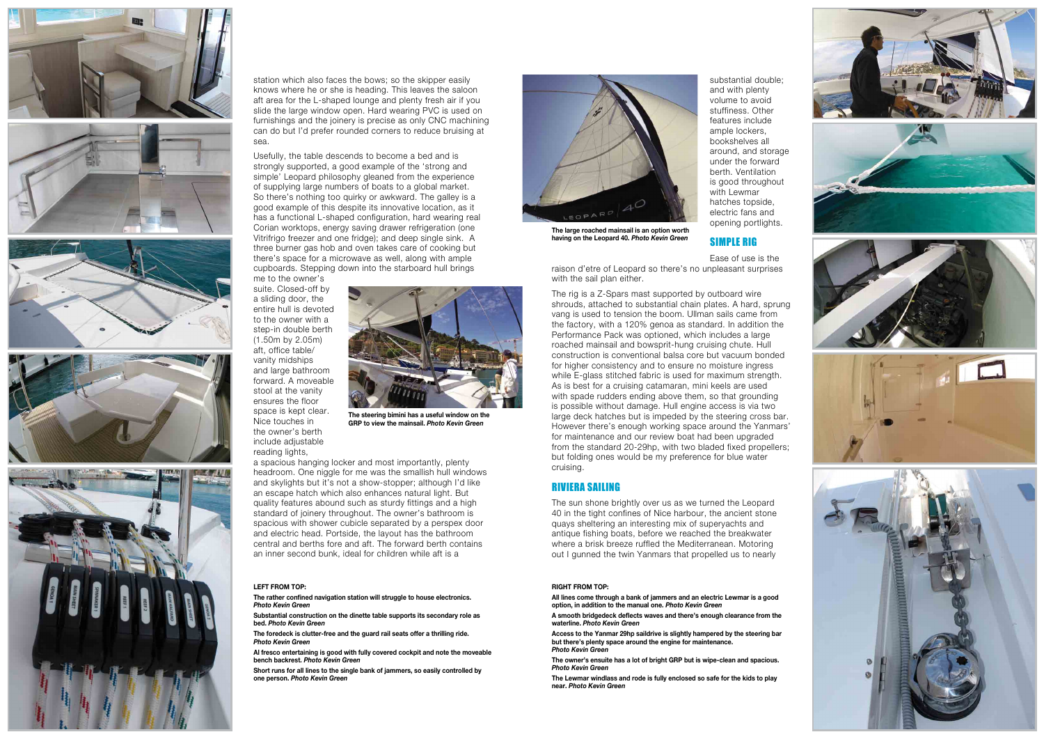









station which also faces the bows; so the skipper easily knows where he or she is heading. This leaves the saloon aft area for the L-shaped lounge and plenty fresh air if you slide the large window open. Hard wearing PVC is used on furnishings and the joinery is precise as only CNC machining can do but I'd prefer rounded corners to reduce bruising at sea.

Usefully, the table descends to become a bed and is strongly supported, a good example of the 'strong and simple' Leopard philosophy gleaned from the experience of supplying large numbers of boats to a global market. So there's nothing too quirky or awkward. The galley is a good example of this despite its innovative location, as it has a functional L-shaped configuration, hard wearing real Corian worktops, energy saving drawer refrigeration (one Vitrifrigo freezer and one fridge); and deep single sink. A three burner gas hob and oven takes care of cooking but there's space for a microwave as well, along with ample cupboards. Stepping down into the starboard hull brings

raison d'etre of Leopard so there's no unpleasant surprises with the sail plan either.

me to the owner's suite. Closed-off by a sliding door, the entire hull is devoted to the owner with a step-in double berth (1.50m by 2.05m) aft, office table/ vanity midships and large bathroom forward. A moveable stool at the vanity ensures the floor space is kept clear. Nice touches in the owner's berth include adjustable reading lights,

a spacious hanging locker and most importantly, plenty headroom. One niggle for me was the smallish hull windows and skylights but it's not a show-stopper; although I'd like an escape hatch which also enhances natural light. But quality features abound such as sturdy fittings and a high standard of joinery throughout. The owner's bathroom is spacious with shower cubicle separated by a perspex door and electric head. Portside, the layout has the bathroom central and berths fore and aft. The forward berth contains an inner second bunk, ideal for children while aft is a

The sun shone brightly over us as we turned the Leopard 40 in the tight confines of Nice harbour, the ancient stone quays sheltering an interesting mix of superyachts and antique fishing boats, before we reached the breakwater where a brisk breeze ruffled the Mediterranean. Motoring out I gunned the twin Yanmars that propelled us to nearly

substantial double; and with plenty volume to avoid stuffiness. Other features include ample lockers, bookshelves all around, and storage under the forward berth. Ventilation is good throughout with Lewmar hatches topside, electric fans and opening portlights.

# simple Rig

Ease of use is the

The rig is a Z-Spars mast supported by outboard wire shrouds, attached to substantial chain plates. A hard, sprung vang is used to tension the boom. Ullman sails came from the factory, with a 120% genoa as standard. In addition the Performance Pack was optioned, which includes a large roached mainsail and bowsprit-hung cruising chute. Hull construction is conventional balsa core but vacuum bonded for higher consistency and to ensure no moisture ingress while E-glass stitched fabric is used for maximum strength. As is best for a cruising catamaran, mini keels are used with spade rudders ending above them, so that grounding is possible without damage. Hull engine access is via two large deck hatches but is impeded by the steering cross bar. However there's enough working space around the Yanmars' for maintenance and our review boat had been upgraded from the standard 20-29hp, with two bladed fixed propellers; but folding ones would be my preference for blue water cruising.

## RivieRA sAiling

### **LEFT FRom Top:**

**The rather confined navigation station will struggle to house electronics.**  *Photo Kevin Green*

**Substantial construction on the dinette table supports its secondary role as bed.** *Photo Kevin Green*

**The foredeck is clutter-free and the guard rail seats offer a thrilling ride.**  *Photo Kevin Green*

**al fresco entertaining is good with fully covered cockpit and note the moveable bench backrest.** *Photo Kevin Green*

**Short runs for all lines to the single bank of jammers, so easily controlled by one person.** *Photo Kevin Green*

### **RIGhT FRom Top:**

**all lines come through a bank of jammers and an electric Lewmar is a good option, in addition to the manual one.** *Photo Kevin Green*

**A smooth bridgedeck deflects waves and there's enough clearance from the waterline.** *Photo Kevin Green*

**access to the Yanmar 29hp saildrive is slightly hampered by the steering bar but there's plenty space around the engine for maintenance.**  *Photo Kevin Green*

**The owner's ensuite has a lot of bright GRp but is wipe-clean and spacious.**  *Photo Kevin Green*

**The Lewmar windlass and rode is fully enclosed so safe for the kids to play near.** *Photo Kevin Green*



**The steering bimini has a useful window on the GRp to view the mainsail.** *Photo Kevin Green*



**The large roached mainsail is an option worth having on the Leopard 40.** *Photo Kevin Green*